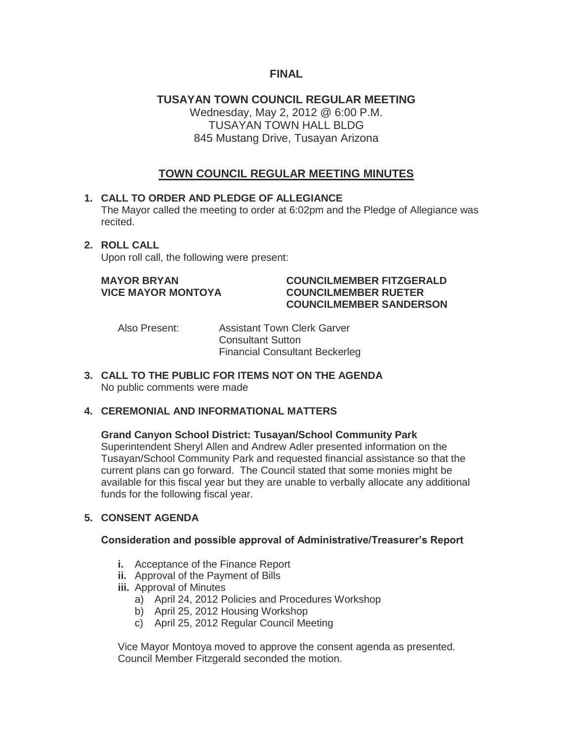## **FINAL**

## **TUSAYAN TOWN COUNCIL REGULAR MEETING** Wednesday, May 2, 2012 @ 6:00 P.M. TUSAYAN TOWN HALL BLDG 845 Mustang Drive, Tusayan Arizona

# **TOWN COUNCIL REGULAR MEETING MINUTES**

#### **1. CALL TO ORDER AND PLEDGE OF ALLEGIANCE**

The Mayor called the meeting to order at 6:02pm and the Pledge of Allegiance was recited.

#### **2. ROLL CALL**

Upon roll call, the following were present:

#### **MAYOR BRYAN COUNCILMEMBER FITZGERALD VICE MAYOR MONTOYA COUNCILMEMBER RUETER COUNCILMEMBER SANDERSON**

Also Present: Assistant Town Clerk Garver Consultant Sutton Financial Consultant Beckerleg

**3. CALL TO THE PUBLIC FOR ITEMS NOT ON THE AGENDA**  No public comments were made

#### **4. CEREMONIAL AND INFORMATIONAL MATTERS**

#### **Grand Canyon School District: Tusayan/School Community Park**

Superintendent Sheryl Allen and Andrew Adler presented information on the Tusayan/School Community Park and requested financial assistance so that the current plans can go forward. The Council stated that some monies might be available for this fiscal year but they are unable to verbally allocate any additional funds for the following fiscal year.

#### **5. CONSENT AGENDA**

#### **Consideration and possible approval of Administrative/Treasurer's Report**

- **i.** Acceptance of the Finance Report
- **ii.** Approval of the Payment of Bills
- **iii.** Approval of Minutes
	- a) April 24, 2012 Policies and Procedures Workshop
	- b) April 25, 2012 Housing Workshop
	- c) April 25, 2012 Regular Council Meeting

Vice Mayor Montoya moved to approve the consent agenda as presented. Council Member Fitzgerald seconded the motion.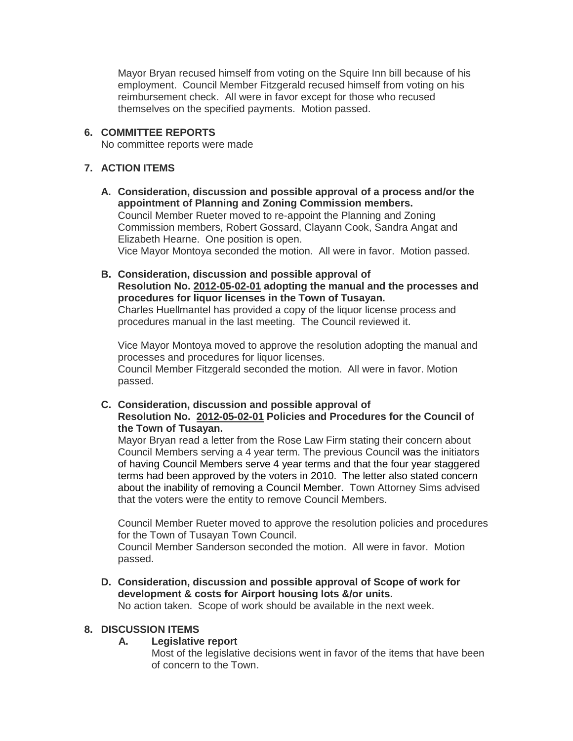Mayor Bryan recused himself from voting on the Squire Inn bill because of his employment. Council Member Fitzgerald recused himself from voting on his reimbursement check. All were in favor except for those who recused themselves on the specified payments. Motion passed.

#### **6. COMMITTEE REPORTS**

No committee reports were made

### **7. ACTION ITEMS**

- **A. Consideration, discussion and possible approval of a process and/or the appointment of Planning and Zoning Commission members.** Council Member Rueter moved to re-appoint the Planning and Zoning Commission members, Robert Gossard, Clayann Cook, Sandra Angat and Elizabeth Hearne. One position is open. Vice Mayor Montoya seconded the motion. All were in favor. Motion passed.
- **B. Consideration, discussion and possible approval of Resolution No. 2012-05-02-01 adopting the manual and the processes and procedures for liquor licenses in the Town of Tusayan.** Charles Huellmantel has provided a copy of the liquor license process and procedures manual in the last meeting. The Council reviewed it.

Vice Mayor Montoya moved to approve the resolution adopting the manual and processes and procedures for liquor licenses. Council Member Fitzgerald seconded the motion. All were in favor. Motion passed.

**C. Consideration, discussion and possible approval of Resolution No. 2012-05-02-01 Policies and Procedures for the Council of the Town of Tusayan.**

Mayor Bryan read a letter from the Rose Law Firm stating their concern about Council Members serving a 4 year term. The previous Council was the initiators of having Council Members serve 4 year terms and that the four year staggered terms had been approved by the voters in 2010. The letter also stated concern about the inability of removing a Council Member. Town Attorney Sims advised that the voters were the entity to remove Council Members.

Council Member Rueter moved to approve the resolution policies and procedures for the Town of Tusayan Town Council.

Council Member Sanderson seconded the motion. All were in favor. Motion passed.

**D. Consideration, discussion and possible approval of Scope of work for development & costs for Airport housing lots &/or units.**

No action taken. Scope of work should be available in the next week.

#### **8. DISCUSSION ITEMS**

#### **A. Legislative report**

Most of the legislative decisions went in favor of the items that have been of concern to the Town.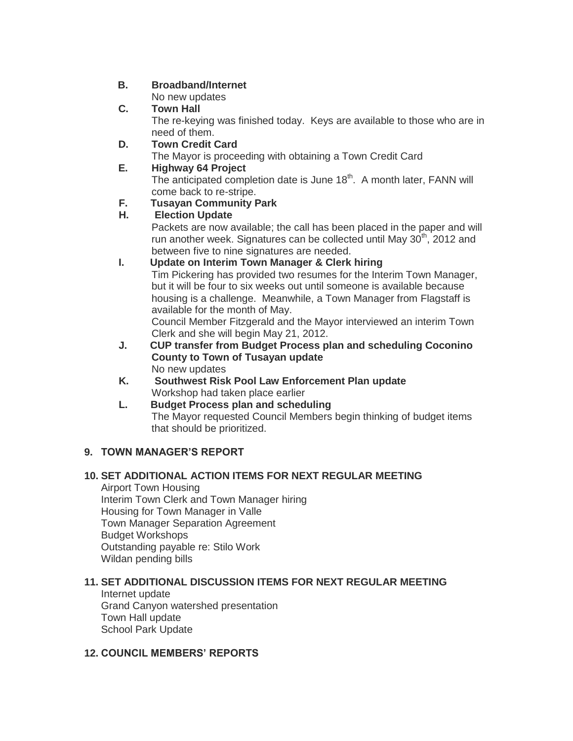## **B. Broadband/Internet**

No new updates

# **C. Town Hall**

The re-keying was finished today. Keys are available to those who are in need of them.

## **D. Town Credit Card**

The Mayor is proceeding with obtaining a Town Credit Card

# **E. Highway 64 Project**

The anticipated completion date is June 18<sup>th</sup>. A month later, FANN will come back to re-stripe.

# **F. Tusayan Community Park**

# **H. Election Update**

Packets are now available; the call has been placed in the paper and will run another week. Signatures can be collected until May 30<sup>th</sup>, 2012 and between five to nine signatures are needed.

# **I. Update on Interim Town Manager & Clerk hiring**

Tim Pickering has provided two resumes for the Interim Town Manager, but it will be four to six weeks out until someone is available because housing is a challenge. Meanwhile, a Town Manager from Flagstaff is available for the month of May.

Council Member Fitzgerald and the Mayor interviewed an interim Town Clerk and she will begin May 21, 2012.

- **J. CUP transfer from Budget Process plan and scheduling Coconino County to Town of Tusayan update** No new updates
- **K. Southwest Risk Pool Law Enforcement Plan update**  Workshop had taken place earlier

# **L. Budget Process plan and scheduling** The Mayor requested Council Members begin thinking of budget items that should be prioritized.

# **9. TOWN MANAGER'S REPORT**

# **10. SET ADDITIONAL ACTION ITEMS FOR NEXT REGULAR MEETING**

Airport Town Housing Interim Town Clerk and Town Manager hiring Housing for Town Manager in Valle Town Manager Separation Agreement Budget Workshops Outstanding payable re: Stilo Work Wildan pending bills

# **11. SET ADDITIONAL DISCUSSION ITEMS FOR NEXT REGULAR MEETING**

Internet update Grand Canyon watershed presentation Town Hall update School Park Update

# **12. COUNCIL MEMBERS' REPORTS**